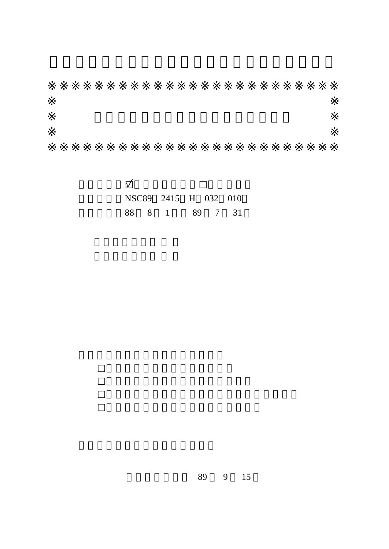|  | NSC89 2415 H 032 010 |  |  |
|--|----------------------|--|--|
|  | 88 8 1 89 7 31       |  |  |

89 9 15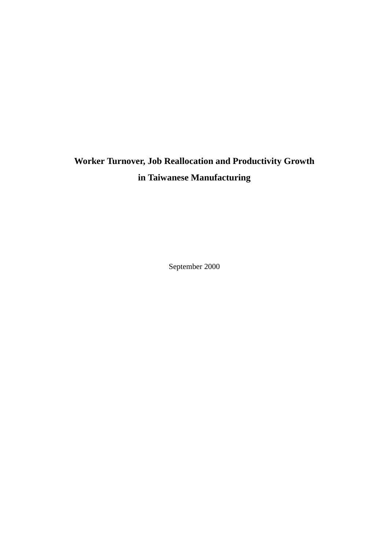# **Worker Turnover, Job Reallocation and Productivity Growth in Taiwanese Manufacturing**

September 2000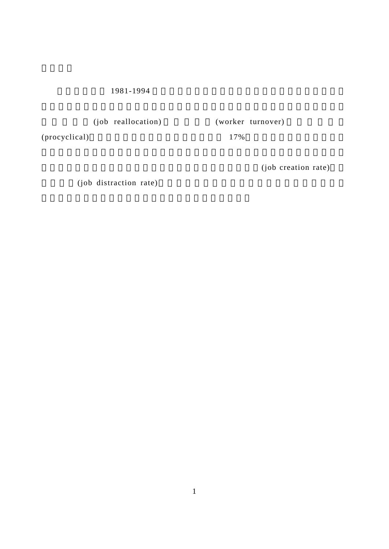1981-1994

(job reallocation) (worker turnover)

 $(\text{procyclical})$  17%

(job creation rate)

(job distraction rate)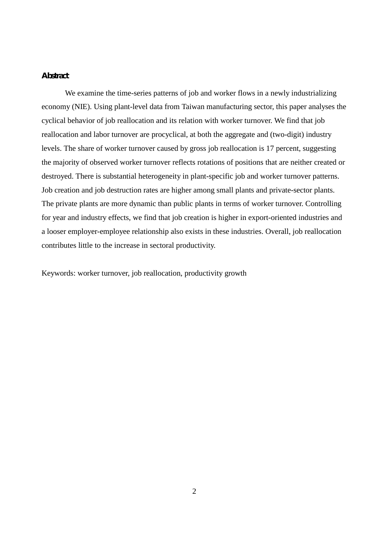#### Abstract

We examine the time-series patterns of job and worker flows in a newly industrializing economy (NIE). Using plant-level data from Taiwan manufacturing sector, this paper analyses the cyclical behavior of job reallocation and its relation with worker turnover. We find that job reallocation and labor turnover are procyclical, at both the aggregate and (two-digit) industry levels. The share of worker turnover caused by gross job reallocation is 17 percent, suggesting the majority of observed worker turnover reflects rotations of positions that are neither created or destroyed. There is substantial heterogeneity in plant-specific job and worker turnover patterns. Job creation and job destruction rates are higher among small plants and private-sector plants. The private plants are more dynamic than public plants in terms of worker turnover. Controlling for year and industry effects, we find that job creation is higher in export-oriented industries and a looser employer-employee relationship also exists in these industries. Overall, job reallocation contributes little to the increase in sectoral productivity.

Keywords: worker turnover, job reallocation, productivity growth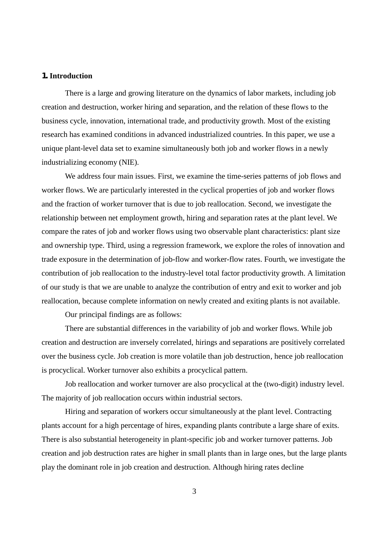#### 1. **Introduction**

There is a large and growing literature on the dynamics of labor markets, including job creation and destruction, worker hiring and separation, and the relation of these flows to the business cycle, innovation, international trade, and productivity growth. Most of the existing research has examined conditions in advanced industrialized countries. In this paper, we use a unique plant-level data set to examine simultaneously both job and worker flows in a newly industrializing economy (NIE).

We address four main issues. First, we examine the time-series patterns of job flows and worker flows. We are particularly interested in the cyclical properties of job and worker flows and the fraction of worker turnover that is due to job reallocation. Second, we investigate the relationship between net employment growth, hiring and separation rates at the plant level. We compare the rates of job and worker flows using two observable plant characteristics: plant size and ownership type. Third, using a regression framework, we explore the roles of innovation and trade exposure in the determination of job-flow and worker-flow rates. Fourth, we investigate the contribution of job reallocation to the industry-level total factor productivity growth. A limitation of our study is that we are unable to analyze the contribution of entry and exit to worker and job reallocation, because complete information on newly created and exiting plants is not available.

Our principal findings are as follows:

There are substantial differences in the variability of job and worker flows. While job creation and destruction are inversely correlated, hirings and separations are positively correlated over the business cycle. Job creation is more volatile than job destruction, hence job reallocation is procyclical. Worker turnover also exhibits a procyclical pattern.

Job reallocation and worker turnover are also procyclical at the (two-digit) industry level. The majority of job reallocation occurs within industrial sectors.

Hiring and separation of workers occur simultaneously at the plant level. Contracting plants account for a high percentage of hires, expanding plants contribute a large share of exits. There is also substantial heterogeneity in plant-specific job and worker turnover patterns. Job creation and job destruction rates are higher in small plants than in large ones, but the large plants play the dominant role in job creation and destruction. Although hiring rates decline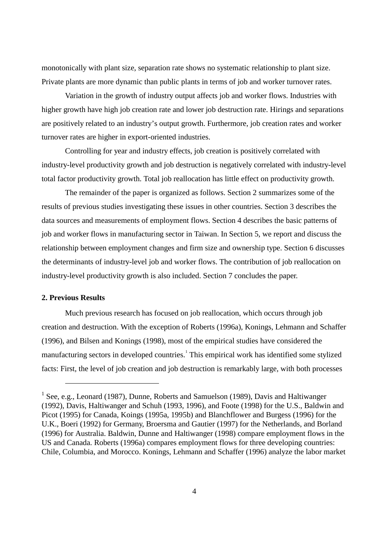monotonically with plant size, separation rate shows no systematic relationship to plant size. Private plants are more dynamic than public plants in terms of job and worker turnover rates.

Variation in the growth of industry output affects job and worker flows. Industries with higher growth have high job creation rate and lower job destruction rate. Hirings and separations are positively related to an industry's output growth. Furthermore, job creation rates and worker turnover rates are higher in export-oriented industries.

Controlling for year and industry effects, job creation is positively correlated with industry-level productivity growth and job destruction is negatively correlated with industry-level total factor productivity growth. Total job reallocation has little effect on productivity growth.

The remainder of the paper is organized as follows. Section 2 summarizes some of the results of previous studies investigating these issues in other countries. Section 3 describes the data sources and measurements of employment flows. Section 4 describes the basic patterns of job and worker flows in manufacturing sector in Taiwan. In Section 5, we report and discuss the relationship between employment changes and firm size and ownership type. Section 6 discusses the determinants of industry-level job and worker flows. The contribution of job reallocation on industry-level productivity growth is also included. Section 7 concludes the paper.

#### **2. Previous Results**

 $\overline{a}$ 

Much previous research has focused on job reallocation, which occurs through job creation and destruction. With the exception of Roberts (1996a), Konings, Lehmann and Schaffer (1996), and Bilsen and Konings (1998), most of the empirical studies have considered the manufacturing sectors in developed countries.<sup>1</sup> This empirical work has identified some stylized facts: First, the level of job creation and job destruction is remarkably large, with both processes

<sup>&</sup>lt;sup>1</sup> See, e.g., Leonard (1987), Dunne, Roberts and Samuelson (1989), Davis and Haltiwanger (1992), Davis, Haltiwanger and Schuh (1993, 1996), and Foote (1998) for the U.S., Baldwin and Picot (1995) for Canada, Koings (1995a, 1995b) and Blanchflower and Burgess (1996) for the U.K., Boeri (1992) for Germany, Broersma and Gautier (1997) for the Netherlands, and Borland (1996) for Australia. Baldwin, Dunne and Haltiwanger (1998) compare employment flows in the US and Canada. Roberts (1996a) compares employment flows for three developing countries: Chile, Columbia, and Morocco. Konings, Lehmann and Schaffer (1996) analyze the labor market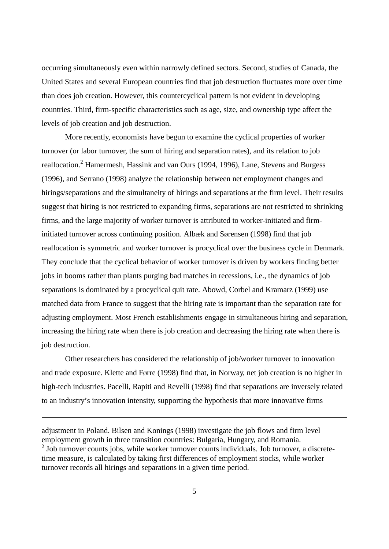occurring simultaneously even within narrowly defined sectors. Second, studies of Canada, the United States and several European countries find that job destruction fluctuates more over time than does job creation. However, this countercyclical pattern is not evident in developing countries. Third, firm-specific characteristics such as age, size, and ownership type affect the levels of job creation and job destruction.

More recently, economists have begun to examine the cyclical properties of worker turnover (or labor turnover, the sum of hiring and separation rates), and its relation to job reallocation.<sup>2</sup> Hamermesh, Hassink and van Ours (1994, 1996), Lane, Stevens and Burgess (1996), and Serrano (1998) analyze the relationship between net employment changes and hirings/separations and the simultaneity of hirings and separations at the firm level. Their results suggest that hiring is not restricted to expanding firms, separations are not restricted to shrinking firms, and the large majority of worker turnover is attributed to worker-initiated and firminitiated turnover across continuing position. Albæk and Sørensen (1998) find that job reallocation is symmetric and worker turnover is procyclical over the business cycle in Denmark. They conclude that the cyclical behavior of worker turnover is driven by workers finding better jobs in booms rather than plants purging bad matches in recessions, i.e., the dynamics of job separations is dominated by a procyclical quit rate. Abowd, Corbel and Kramarz (1999) use matched data from France to suggest that the hiring rate is important than the separation rate for adjusting employment. Most French establishments engage in simultaneous hiring and separation, increasing the hiring rate when there is job creation and decreasing the hiring rate when there is job destruction.

Other researchers has considered the relationship of job/worker turnover to innovation and trade exposure. Klette and Førre (1998) find that, in Norway, net job creation is no higher in high-tech industries. Pacelli, Rapiti and Revelli (1998) find that separations are inversely related to an industry's innovation intensity, supporting the hypothesis that more innovative firms

adjustment in Poland. Bilsen and Konings (1998) investigate the job flows and firm level employment growth in three transition countries: Bulgaria, Hungary, and Romania.  $2$  Job turnover counts jobs, while worker turnover counts individuals. Job turnover, a discretetime measure, is calculated by taking first differences of employment stocks, while worker turnover records all hirings and separations in a given time period.

 $\overline{a}$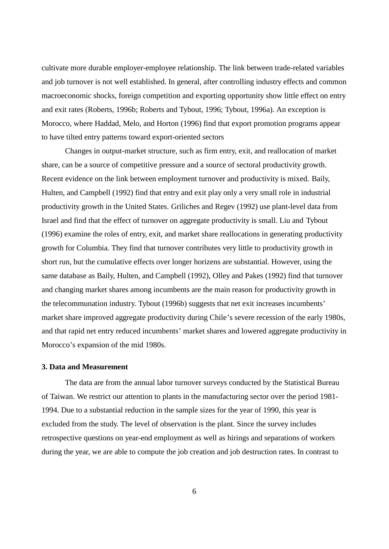cultivate more durable employer-employee relationship. The link between trade-related variables and job turnover is not well established. In general, after controlling industry effects and common macroeconomic shocks, foreign competition and exporting opportunity show little effect on entry and exit rates (Roberts, 1996b; Roberts and Tybout, 1996; Tybout, 1996a). An exception is Morocco, where Haddad, Melo, and Horton (1996) find that export promotion programs appear to have tilted entry patterns toward export-oriented sectors

Changes in output-market structure, such as firm entry, exit, and reallocation of market share, can be a source of competitive pressure and a source of sectoral productivity growth. Recent evidence on the link between employment turnover and productivity is mixed. Baily, Hulten, and Campbell (1992) find that entry and exit play only a very small role in industrial productivity growth in the United States. Griliches and Regev (1992) use plant-level data from Israel and find that the effect of turnover on aggregate productivity is small. Liu and Tybout (1996) examine the roles of entry, exit, and market share reallocations in generating productivity growth for Columbia. They find that turnover contributes very little to productivity growth in short run, but the cumulative effects over longer horizens are substantial. However, using the same database as Baily, Hulten, and Campbell (1992), Olley and Pakes (1992) find that turnover and changing market shares among incumbents are the main reason for productivity growth in the telecommunation industry. Tybout (1996b) suggests that net exit increases incumbents' market share improved aggregate productivity during Chile's severe recession of the early 1980s, and that rapid net entry reduced incumbents' market shares and lowered aggregate productivity in Morocco's expansion of the mid 1980s.

#### **3. Data and Measurement**

The data are from the annual labor turnover surveys conducted by the Statistical Bureau of Taiwan. We restrict our attention to plants in the manufacturing sector over the period 1981- 1994. Due to a substantial reduction in the sample sizes for the year of 1990, this year is excluded from the study. The level of observation is the plant. Since the survey includes retrospective questions on year-end employment as well as hirings and separations of workers during the year, we are able to compute the job creation and job destruction rates. In contrast to

6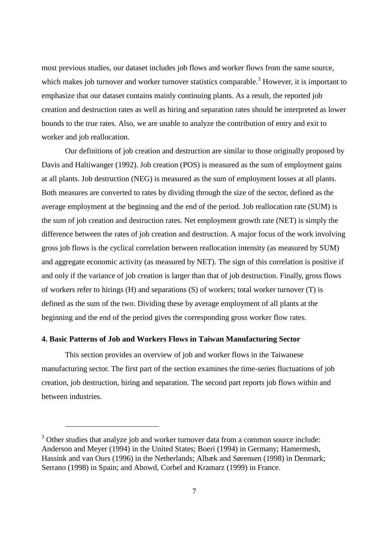most previous studies, our dataset includes job flows and worker flows from the same source, which makes job turnover and worker turnover statistics comparable.<sup>3</sup> However, it is important to emphasize that our dataset contains mainly continuing plants. As a result, the reported job creation and destruction rates as well as hiring and separation rates should be interpreted as lower bounds to the true rates. Also, we are unable to analyze the contribution of entry and exit to worker and job reallocation.

Our definitions of job creation and destruction are similar to those originally proposed by Davis and Haltiwanger (1992). Job creation (POS) is measured as the sum of employment gains at all plants. Job destruction (NEG) is measured as the sum of employment losses at all plants. Both measures are converted to rates by dividing through the size of the sector, defined as the average employment at the beginning and the end of the period. Job reallocation rate (SUM) is the sum of job creation and destruction rates. Net employment growth rate (NET) is simply the difference between the rates of job creation and destruction. A major focus of the work involving gross job flows is the cyclical correlation between reallocation intensity (as measured by SUM) and aggregate economic activity (as measured by NET). The sign of this correlation is positive if and only if the variance of job creation is larger than that of job destruction. Finally, gross flows of workers refer to hirings (H) and separations (S) of workers; total worker turnover (T) is defined as the sum of the two. Dividing these by average employment of all plants at the beginning and the end of the period gives the corresponding gross worker flow rates.

## **4. Basic Patterns of Job and Workers Flows in Taiwan Manufacturing Sector**

 $\overline{a}$ 

This section provides an overview of job and worker flows in the Taiwanese manufacturing sector. The first part of the section examines the time-series fluctuations of job creation, job destruction, hiring and separation. The second part reports job flows within and between industries.

 $3$  Other studies that analyze job and worker turnover data from a common source include: Anderson and Meyer (1994) in the United States; Boeri (1994) in Germany; Hamermesh, Hassink and van Ours (1996) in the Netherlands; Albæk and Sørensen (1998) in Denmark; Serrano (1998) in Spain; and Abowd, Corbel and Kramarz (1999) in France.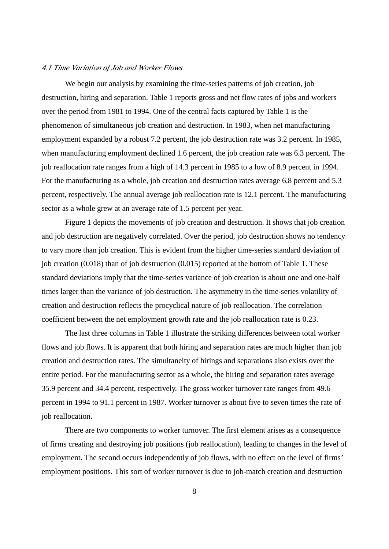#### *4.1 Time Variation of Job and Worker Flows*

We begin our analysis by examining the time-series patterns of job creation, job destruction, hiring and separation. Table 1 reports gross and net flow rates of jobs and workers over the period from 1981 to 1994. One of the central facts captured by Table 1 is the phenomenon of simultaneous job creation and destruction. In 1983, when net manufacturing employment expanded by a robust 7.2 percent, the job destruction rate was 3.2 percent. In 1985, when manufacturing employment declined 1.6 percent, the job creation rate was 6.3 percent. The job reallocation rate ranges from a high of 14.3 percent in 1985 to a low of 8.9 percent in 1994. For the manufacturing as a whole, job creation and destruction rates average 6.8 percent and 5.3 percent, respectively. The annual average job reallocation rate is 12.1 percent. The manufacturing sector as a whole grew at an average rate of 1.5 percent per year.

Figure 1 depicts the movements of job creation and destruction. It shows that job creation and job destruction are negatively correlated. Over the period, job destruction shows no tendency to vary more than job creation. This is evident from the higher time-series standard deviation of job creation (0.018) than of job destruction (0.015) reported at the bottom of Table 1. These standard deviations imply that the time-series variance of job creation is about one and one-half times larger than the variance of job destruction. The asymmetry in the time-series volatility of creation and destruction reflects the procyclical nature of job reallocation. The correlation coefficient between the net employment growth rate and the job reallocation rate is 0.23.

The last three columns in Table 1 illustrate the striking differences between total worker flows and job flows. It is apparent that both hiring and separation rates are much higher than job creation and destruction rates. The simultaneity of hirings and separations also exists over the entire period. For the manufacturing sector as a whole, the hiring and separation rates average 35.9 percent and 34.4 percent, respectively. The gross worker turnover rate ranges from 49.6 percent in 1994 to 91.1 percent in 1987. Worker turnover is about five to seven times the rate of job reallocation.

There are two components to worker turnover. The first element arises as a consequence of firms creating and destroying job positions (job reallocation), leading to changes in the level of employment. The second occurs independently of job flows, with no effect on the level of firms' employment positions. This sort of worker turnover is due to job-match creation and destruction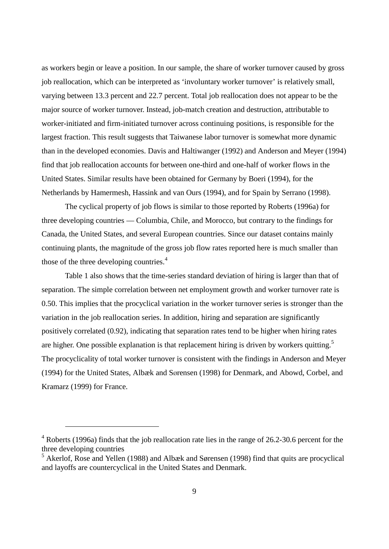as workers begin or leave a position. In our sample, the share of worker turnover caused by gross job reallocation, which can be interpreted as 'involuntary worker turnover' is relatively small, varying between 13.3 percent and 22.7 percent. Total job reallocation does not appear to be the major source of worker turnover. Instead, job-match creation and destruction, attributable to worker-initiated and firm-initiated turnover across continuing positions, is responsible for the largest fraction. This result suggests that Taiwanese labor turnover is somewhat more dynamic than in the developed economies. Davis and Haltiwanger (1992) and Anderson and Meyer (1994) find that job reallocation accounts for between one-third and one-half of worker flows in the United States. Similar results have been obtained for Germany by Boeri (1994), for the Netherlands by Hamermesh, Hassink and van Ours (1994), and for Spain by Serrano (1998).

The cyclical property of job flows is similar to those reported by Roberts (1996a) for three developing countries — Columbia, Chile, and Morocco, but contrary to the findings for Canada, the United States, and several European countries. Since our dataset contains mainly continuing plants, the magnitude of the gross job flow rates reported here is much smaller than those of the three developing countries.<sup>4</sup>

Table 1 also shows that the time-series standard deviation of hiring is larger than that of separation. The simple correlation between net employment growth and worker turnover rate is 0.50. This implies that the procyclical variation in the worker turnover series is stronger than the variation in the job reallocation series. In addition, hiring and separation are significantly positively correlated (0.92), indicating that separation rates tend to be higher when hiring rates are higher. One possible explanation is that replacement hiring is driven by workers quitting.<sup>5</sup> The procyclicality of total worker turnover is consistent with the findings in Anderson and Meyer (1994) for the United States, Albæk and Sørensen (1998) for Denmark, and Abowd, Corbel, and Kramarz (1999) for France.

 $\overline{a}$ 

 $4$  Roberts (1996a) finds that the job reallocation rate lies in the range of 26.2-30.6 percent for the three developing countries

 $<sup>5</sup>$  Akerlof, Rose and Yellen (1988) and Albæk and Sørensen (1998) find that quits are procyclical</sup> and layoffs are countercyclical in the United States and Denmark.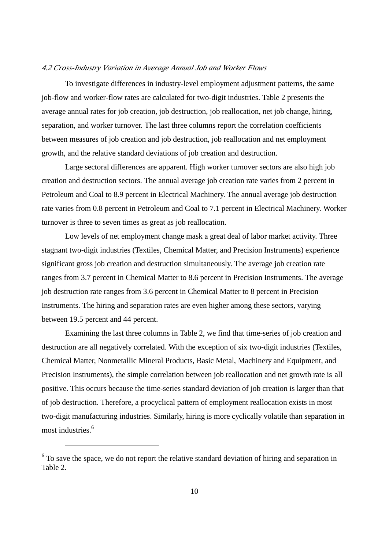#### *4.2 Cross-Industry Variation in Average Annual Job and Worker Flows*

To investigate differences in industry-level employment adjustment patterns, the same job-flow and worker-flow rates are calculated for two-digit industries. Table 2 presents the average annual rates for job creation, job destruction, job reallocation, net job change, hiring, separation, and worker turnover. The last three columns report the correlation coefficients between measures of job creation and job destruction, job reallocation and net employment growth, and the relative standard deviations of job creation and destruction.

Large sectoral differences are apparent. High worker turnover sectors are also high job creation and destruction sectors. The annual average job creation rate varies from 2 percent in Petroleum and Coal to 8.9 percent in Electrical Machinery. The annual average job destruction rate varies from 0.8 percent in Petroleum and Coal to 7.1 percent in Electrical Machinery. Worker turnover is three to seven times as great as job reallocation.

Low levels of net employment change mask a great deal of labor market activity. Three stagnant two-digit industries (Textiles, Chemical Matter, and Precision Instruments) experience significant gross job creation and destruction simultaneously. The average job creation rate ranges from 3.7 percent in Chemical Matter to 8.6 percent in Precision Instruments. The average job destruction rate ranges from 3.6 percent in Chemical Matter to 8 percent in Precision Instruments. The hiring and separation rates are even higher among these sectors, varying between 19.5 percent and 44 percent.

Examining the last three columns in Table 2, we find that time-series of job creation and destruction are all negatively correlated. With the exception of six two-digit industries (Textiles, Chemical Matter, Nonmetallic Mineral Products, Basic Metal, Machinery and Equipment, and Precision Instruments), the simple correlation between job reallocation and net growth rate is all positive. This occurs because the time-series standard deviation of job creation is larger than that of job destruction. Therefore, a procyclical pattern of employment reallocation exists in most two-digit manufacturing industries. Similarly, hiring is more cyclically volatile than separation in most industries.<sup>6</sup>

 $\overline{a}$ 

 $6$  To save the space, we do not report the relative standard deviation of hiring and separation in Table 2.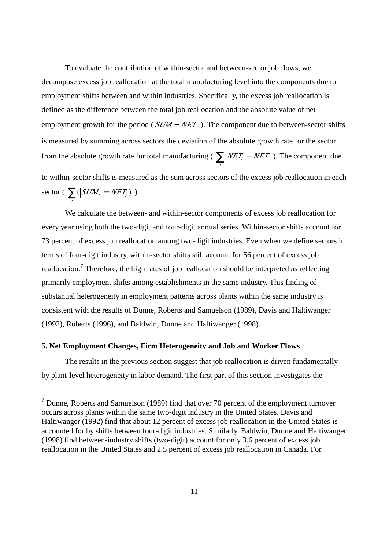To evaluate the contribution of within-sector and between-sector job flows, we decompose excess job reallocation at the total manufacturing level into the components due to employment shifts between and within industries. Specifically, the excess job reallocation is defined as the difference between the total job reallocation and the absolute value of net employment growth for the period (*SUM* − *|NET* ). The component due to between-sector shifts is measured by summing across sectors the deviation of the absolute growth rate for the sector from the absolute growth rate for total manufacturing ( $\sum$  *NET NET*  $\sum_{i}$  *NET*<sup>*i*</sup> − *NET*<sup>*i*</sup> ). The component due to within-sector shifts is measured as the sum across sectors of the excess job reallocation in each sector ( $\sum$  ( $|SUM_i|$  –  $|NET_i|$ )  $\sum_{i}$  (*SUM*<sub>*i*</sub>  $-$  *NET*<sub>*i*</sub> $)$  ).

We calculate the between- and within-sector components of excess job reallocation for every year using both the two-digit and four-digit annual series. Within-sector shifts account for 73 percent of excess job reallocation among two-digit industries. Even when we define sectors in terms of four-digit industry, within-sector shifts still account for 56 percent of excess job reallocation.<sup>7</sup> Therefore, the high rates of job reallocation should be interpreted as reflecting primarily employment shifts among establishments in the same industry. This finding of substantial heterogeneity in employment patterns across plants within the same industry is consistent with the results of Dunne, Roberts and Samuelson (1989), Davis and Haltiwanger (1992), Roberts (1996), and Baldwin, Dunne and Haltiwanger (1998).

#### **5. Net Employment Changes, Firm Heterogeneity and Job and Worker Flows**

 $\overline{a}$ 

The results in the previous section suggest that job reallocation is driven fundamentally by plant-level heterogeneity in labor demand. The first part of this section investigates the

 $<sup>7</sup>$  Dunne, Roberts and Samuelson (1989) find that over 70 percent of the employment turnover</sup> occurs across plants within the same two-digit industry in the United States. Davis and Haltiwanger (1992) find that about 12 percent of excess job reallocation in the United States is accounted for by shifts between four-digit industries. Similarly, Baldwin, Dunne and Haltiwanger (1998) find between-industry shifts (two-digit) account for only 3.6 percent of excess job reallocation in the United States and 2.5 percent of excess job reallocation in Canada. For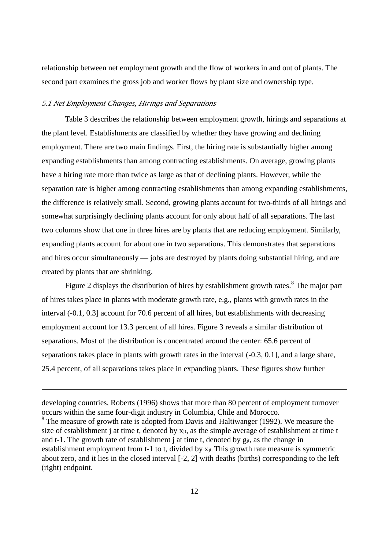relationship between net employment growth and the flow of workers in and out of plants. The second part examines the gross job and worker flows by plant size and ownership type.

## *5.1 Net Employment Changes, Hirings and Separations*

 $\overline{a}$ 

Table 3 describes the relationship between employment growth, hirings and separations at the plant level. Establishments are classified by whether they have growing and declining employment. There are two main findings. First, the hiring rate is substantially higher among expanding establishments than among contracting establishments. On average, growing plants have a hiring rate more than twice as large as that of declining plants. However, while the separation rate is higher among contracting establishments than among expanding establishments, the difference is relatively small. Second, growing plants account for two-thirds of all hirings and somewhat surprisingly declining plants account for only about half of all separations. The last two columns show that one in three hires are by plants that are reducing employment. Similarly, expanding plants account for about one in two separations. This demonstrates that separations and hires occur simultaneously — jobs are destroyed by plants doing substantial hiring, and are created by plants that are shrinking.

Figure 2 displays the distribution of hires by establishment growth rates.<sup>8</sup> The major part of hires takes place in plants with moderate growth rate, e.g., plants with growth rates in the interval (-0.1, 0.3] account for 70.6 percent of all hires, but establishments with decreasing employment account for 13.3 percent of all hires. Figure 3 reveals a similar distribution of separations. Most of the distribution is concentrated around the center: 65.6 percent of separations takes place in plants with growth rates in the interval (-0.3, 0.1], and a large share, 25.4 percent, of all separations takes place in expanding plants. These figures show further

developing countries, Roberts (1996) shows that more than 80 percent of employment turnover occurs within the same four-digit industry in Columbia, Chile and Morocco.  $8$  The measure of growth rate is adopted from Davis and Haltiwanger (1992). We measure the size of establishment j at time t, denoted by  $x_{jt}$ , as the simple average of establishment at time t and t-1. The growth rate of establishment j at time t, denoted by  $g_{it}$ , as the change in establishment employment from t-1 to t, divided by  $x_{jt}$ . This growth rate measure is symmetric about zero, and it lies in the closed interval [-2, 2] with deaths (births) corresponding to the left (right) endpoint.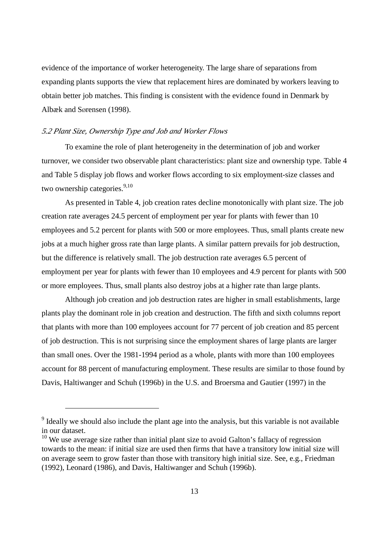evidence of the importance of worker heterogeneity. The large share of separations from expanding plants supports the view that replacement hires are dominated by workers leaving to obtain better job matches. This finding is consistent with the evidence found in Denmark by Albæk and Sørensen (1998).

#### *5.2 Plant Size, Ownership Type and Job and Worker Flows*

 $\overline{a}$ 

To examine the role of plant heterogeneity in the determination of job and worker turnover, we consider two observable plant characteristics: plant size and ownership type. Table 4 and Table 5 display job flows and worker flows according to six employment-size classes and two ownership categories. $9,10$ 

As presented in Table 4, job creation rates decline monotonically with plant size. The job creation rate averages 24.5 percent of employment per year for plants with fewer than 10 employees and 5.2 percent for plants with 500 or more employees. Thus, small plants create new jobs at a much higher gross rate than large plants. A similar pattern prevails for job destruction, but the difference is relatively small. The job destruction rate averages 6.5 percent of employment per year for plants with fewer than 10 employees and 4.9 percent for plants with 500 or more employees. Thus, small plants also destroy jobs at a higher rate than large plants.

Although job creation and job destruction rates are higher in small establishments, large plants play the dominant role in job creation and destruction. The fifth and sixth columns report that plants with more than 100 employees account for 77 percent of job creation and 85 percent of job destruction. This is not surprising since the employment shares of large plants are larger than small ones. Over the 1981-1994 period as a whole, plants with more than 100 employees account for 88 percent of manufacturing employment. These results are similar to those found by Davis, Haltiwanger and Schuh (1996b) in the U.S. and Broersma and Gautier (1997) in the

<sup>&</sup>lt;sup>9</sup> Ideally we should also include the plant age into the analysis, but this variable is not available in our dataset.

 $10$  We use average size rather than initial plant size to avoid Galton's fallacy of regression towards to the mean: if initial size are used then firms that have a transitory low initial size will on average seem to grow faster than those with transitory high initial size. See, e.g., Friedman (1992), Leonard (1986), and Davis, Haltiwanger and Schuh (1996b).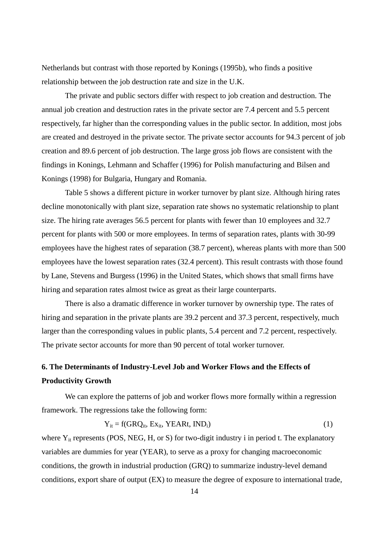Netherlands but contrast with those reported by Konings (1995b), who finds a positive relationship between the job destruction rate and size in the U.K.

The private and public sectors differ with respect to job creation and destruction. The annual job creation and destruction rates in the private sector are 7.4 percent and 5.5 percent respectively, far higher than the corresponding values in the public sector. In addition, most jobs are created and destroyed in the private sector. The private sector accounts for 94.3 percent of job creation and 89.6 percent of job destruction. The large gross job flows are consistent with the findings in Konings, Lehmann and Schaffer (1996) for Polish manufacturing and Bilsen and Konings (1998) for Bulgaria, Hungary and Romania.

Table 5 shows a different picture in worker turnover by plant size. Although hiring rates decline monotonically with plant size, separation rate shows no systematic relationship to plant size. The hiring rate averages 56.5 percent for plants with fewer than 10 employees and 32.7 percent for plants with 500 or more employees. In terms of separation rates, plants with 30-99 employees have the highest rates of separation (38.7 percent), whereas plants with more than 500 employees have the lowest separation rates (32.4 percent). This result contrasts with those found by Lane, Stevens and Burgess (1996) in the United States, which shows that small firms have hiring and separation rates almost twice as great as their large counterparts.

There is also a dramatic difference in worker turnover by ownership type. The rates of hiring and separation in the private plants are 39.2 percent and 37.3 percent, respectively, much larger than the corresponding values in public plants, 5.4 percent and 7.2 percent, respectively. The private sector accounts for more than 90 percent of total worker turnover.

# **6. The Determinants of Industry-Level Job and Worker Flows and the Effects of Productivity Growth**

We can explore the patterns of job and worker flows more formally within a regression framework. The regressions take the following form:

$$
Y_{it} = f(GRQ_{it}, Ex_{it}, YEAR, IND_{i})
$$
 (1)

where  $Y_{it}$  represents (POS, NEG, H, or S) for two-digit industry i in period t. The explanatory variables are dummies for year (YEAR), to serve as a proxy for changing macroeconomic conditions, the growth in industrial production (GRQ) to summarize industry-level demand conditions, export share of output (EX) to measure the degree of exposure to international trade,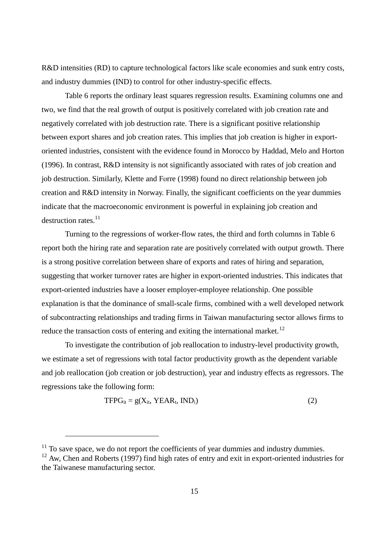R&D intensities (RD) to capture technological factors like scale economies and sunk entry costs, and industry dummies (IND) to control for other industry-specific effects.

Table 6 reports the ordinary least squares regression results. Examining columns one and two, we find that the real growth of output is positively correlated with job creation rate and negatively correlated with job destruction rate. There is a significant positive relationship between export shares and job creation rates. This implies that job creation is higher in exportoriented industries, consistent with the evidence found in Morocco by Haddad, Melo and Horton (1996). In contrast, R&D intensity is not significantly associated with rates of job creation and job destruction. Similarly, Klette and Førre (1998) found no direct relationship between job creation and R&D intensity in Norway. Finally, the significant coefficients on the year dummies indicate that the macroeconomic environment is powerful in explaining job creation and destruction rates.<sup>11</sup>

Turning to the regressions of worker-flow rates, the third and forth columns in Table 6 report both the hiring rate and separation rate are positively correlated with output growth. There is a strong positive correlation between share of exports and rates of hiring and separation, suggesting that worker turnover rates are higher in export-oriented industries. This indicates that export-oriented industries have a looser employer-employee relationship. One possible explanation is that the dominance of small-scale firms, combined with a well developed network of subcontracting relationships and trading firms in Taiwan manufacturing sector allows firms to reduce the transaction costs of entering and exiting the international market.<sup>12</sup>

To investigate the contribution of job reallocation to industry-level productivity growth, we estimate a set of regressions with total factor productivity growth as the dependent variable and job reallocation (job creation or job destruction), year and industry effects as regressors. The regressions take the following form:

$$
TFPG_{it} = g(X_{it}, YEAR_{t}, IND_{i})
$$
\n(2)

 $\overline{a}$ 

 $11$  To save space, we do not report the coefficients of year dummies and industry dummies.

<sup>&</sup>lt;sup>12</sup> Aw, Chen and Roberts (1997) find high rates of entry and exit in export-oriented industries for the Taiwanese manufacturing sector.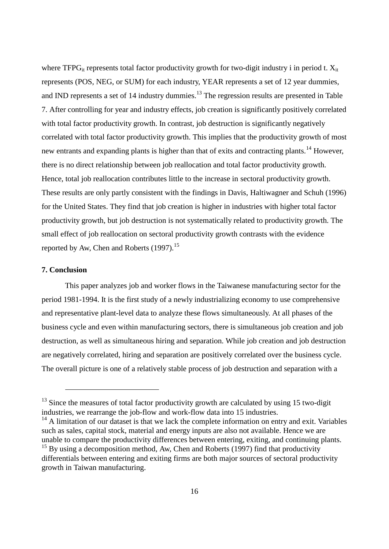where TFPG<sub>it</sub> represents total factor productivity growth for two-digit industry i in period t.  $X_{it}$ represents (POS, NEG, or SUM) for each industry, YEAR represents a set of 12 year dummies, and IND represents a set of 14 industry dummies.<sup>13</sup> The regression results are presented in Table 7. After controlling for year and industry effects, job creation is significantly positively correlated with total factor productivity growth. In contrast, job destruction is significantly negatively correlated with total factor productivity growth. This implies that the productivity growth of most new entrants and expanding plants is higher than that of exits and contracting plants.<sup>14</sup> However, there is no direct relationship between job reallocation and total factor productivity growth. Hence, total job reallocation contributes little to the increase in sectoral productivity growth. These results are only partly consistent with the findings in Davis, Haltiwagner and Schuh (1996) for the United States. They find that job creation is higher in industries with higher total factor productivity growth, but job destruction is not systematically related to productivity growth. The small effect of job reallocation on sectoral productivity growth contrasts with the evidence reported by Aw, Chen and Roberts  $(1997)$ <sup>15</sup>

### **7. Conclusion**

 $\overline{a}$ 

This paper analyzes job and worker flows in the Taiwanese manufacturing sector for the period 1981-1994. It is the first study of a newly industrializing economy to use comprehensive and representative plant-level data to analyze these flows simultaneously. At all phases of the business cycle and even within manufacturing sectors, there is simultaneous job creation and job destruction, as well as simultaneous hiring and separation. While job creation and job destruction are negatively correlated, hiring and separation are positively correlated over the business cycle. The overall picture is one of a relatively stable process of job destruction and separation with a

 $13$  Since the measures of total factor productivity growth are calculated by using 15 two-digit industries, we rearrange the job-flow and work-flow data into 15 industries.

 $14$  A limitation of our dataset is that we lack the complete information on entry and exit. Variables such as sales, capital stock, material and energy inputs are also not available. Hence we are unable to compare the productivity differences between entering, exiting, and continuing plants.

 $15$  By using a decomposition method, Aw, Chen and Roberts (1997) find that productivity differentials between entering and exiting firms are both major sources of sectoral productivity growth in Taiwan manufacturing.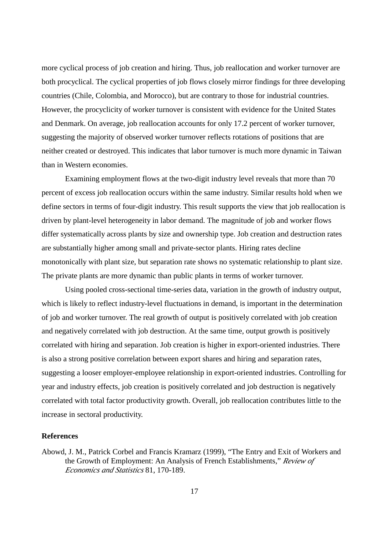more cyclical process of job creation and hiring. Thus, job reallocation and worker turnover are both procyclical. The cyclical properties of job flows closely mirror findings for three developing countries (Chile, Colombia, and Morocco), but are contrary to those for industrial countries. However, the procyclicity of worker turnover is consistent with evidence for the United States and Denmark. On average, job reallocation accounts for only 17.2 percent of worker turnover, suggesting the majority of observed worker turnover reflects rotations of positions that are neither created or destroyed. This indicates that labor turnover is much more dynamic in Taiwan than in Western economies.

Examining employment flows at the two-digit industry level reveals that more than 70 percent of excess job reallocation occurs within the same industry. Similar results hold when we define sectors in terms of four-digit industry. This result supports the view that job reallocation is driven by plant-level heterogeneity in labor demand. The magnitude of job and worker flows differ systematically across plants by size and ownership type. Job creation and destruction rates are substantially higher among small and private-sector plants. Hiring rates decline monotonically with plant size, but separation rate shows no systematic relationship to plant size. The private plants are more dynamic than public plants in terms of worker turnover.

Using pooled cross-sectional time-series data, variation in the growth of industry output, which is likely to reflect industry-level fluctuations in demand, is important in the determination of job and worker turnover. The real growth of output is positively correlated with job creation and negatively correlated with job destruction. At the same time, output growth is positively correlated with hiring and separation. Job creation is higher in export-oriented industries. There is also a strong positive correlation between export shares and hiring and separation rates, suggesting a looser employer-employee relationship in export-oriented industries. Controlling for year and industry effects, job creation is positively correlated and job destruction is negatively correlated with total factor productivity growth. Overall, job reallocation contributes little to the increase in sectoral productivity.

#### **References**

Abowd, J. M., Patrick Corbel and Francis Kramarz (1999), "The Entry and Exit of Workers and the Growth of Employment: An Analysis of French Establishments," *Review of Economics and Statistics* 81, 170-189.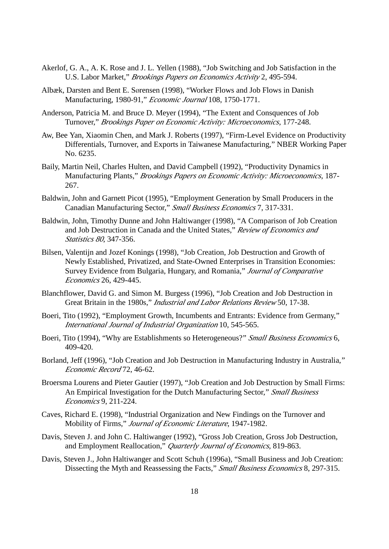- Akerlof, G. A., A. K. Rose and J. L. Yellen (1988), "Job Switching and Job Satisfaction in the U.S. Labor Market," *Brookings Papers on Economics Activity* 2, 495-594.
- Albæk, Darsten and Bent E. Sørensen (1998), "Worker Flows and Job Flows in Danish Manufacturing, 1980-91," *Economic Journal* 108, 1750-1771.
- Anderson, Patricia M. and Bruce D. Meyer (1994), "The Extent and Consquences of Job Turnover," *Brookings Paper on Economic Activity: Microeconomics*, 177-248.
- Aw, Bee Yan, Xiaomin Chen, and Mark J. Roberts (1997), "Firm-Level Evidence on Productivity Differentials, Turnover, and Exports in Taiwanese Manufacturing," NBER Working Paper No. 6235.
- Baily, Martin Neil, Charles Hulten, and David Campbell (1992), "Productivity Dynamics in Manufacturing Plants," *Brookings Papers on Economic Activity: Microeconomics*, 187- 267.
- Baldwin, John and Garnett Picot (1995), "Employment Generation by Small Producers in the Canadian Manufacturing Sector," *Small Business Economics* 7, 317-331.
- Baldwin, John, Timothy Dunne and John Haltiwanger (1998), "A Comparison of Job Creation and Job Destruction in Canada and the United States," *Review of Economics and Statistics 80*, 347-356.
- Bilsen, Valentijn and Jozef Konings (1998), "Job Creation, Job Destruction and Growth of Newly Established, Privatized, and State-Owned Enterprises in Transition Economies: Survey Evidence from Bulgaria, Hungary, and Romania," *Journal of Comparative Economics* 26, 429-445.
- Blanchflower, David G. and Simon M. Burgess (1996), "Job Creation and Job Destruction in Great Britain in the 1980s," *Industrial and Labor Relations Review* 50, 17-38.
- Boeri, Tito (1992), "Employment Growth, Incumbents and Entrants: Evidence from Germany," *International Journal of Industrial Organization* 10, 545-565.
- Boeri, Tito (1994), "Why are Establishments so Heterogeneous?" *Small Business Economics* 6, 409-420.
- Borland, Jeff (1996), "Job Creation and Job Destruction in Manufacturing Industry in Australia," *Economic Record* 72, 46-62.
- Broersma Lourens and Pieter Gautier (1997), "Job Creation and Job Destruction by Small Firms: An Empirical Investigation for the Dutch Manufacturing Sector," *Small Business Economics* 9, 211-224.
- Caves, Richard E. (1998), "Industrial Organization and New Findings on the Turnover and Mobility of Firms," *Journal of Economic Literature*, 1947-1982.
- Davis, Steven J. and John C. Haltiwanger (1992), "Gross Job Creation, Gross Job Destruction, and Employment Reallocation," *Quarterly Journal of Economics*, 819-863.
- Davis, Steven J., John Haltiwanger and Scott Schuh (1996a), "Small Business and Job Creation: Dissecting the Myth and Reassessing the Facts," *Small Business Economics* 8, 297-315.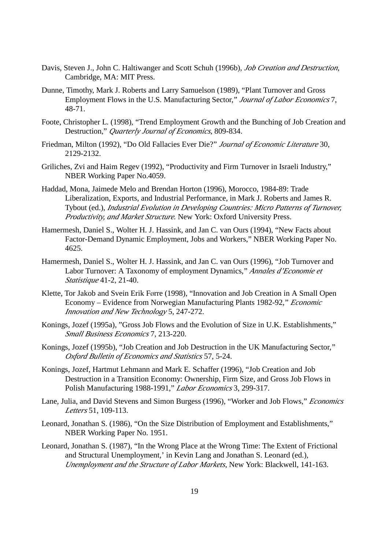- Davis, Steven J., John C. Haltiwanger and Scott Schuh (1996b), *Job Creation and Destruction*, Cambridge, MA: MIT Press.
- Dunne, Timothy, Mark J. Roberts and Larry Samuelson (1989), "Plant Turnover and Gross Employment Flows in the U.S. Manufacturing Sector," *Journal of Labor Economics* 7, 48-71.
- Foote, Christopher L. (1998), "Trend Employment Growth and the Bunching of Job Creation and Destruction," *Quarterly Journal of Economics*, 809-834.
- Friedman, Milton (1992), "Do Old Fallacies Ever Die?" *Journal of Economic Literature* 30, 2129-2132.
- Griliches, Zvi and Haim Regev (1992), "Productivity and Firm Turnover in Israeli Industry," NBER Working Paper No.4059.
- Haddad, Mona, Jaimede Melo and Brendan Horton (1996), Morocco, 1984-89: Trade Liberalization, Exports, and Industrial Performance, in Mark J. Roberts and James R. Tybout (ed.), *Industrial Evolution in Developing Countries: Micro Patterns of Turnover, Productivity, and Market Structure.* New York: Oxford University Press.
- Hamermesh, Daniel S., Wolter H. J. Hassink, and Jan C. van Ours (1994), "New Facts about Factor-Demand Dynamic Employment, Jobs and Workers," NBER Working Paper No. 4625.
- Hamermesh, Daniel S., Wolter H. J. Hassink, and Jan C. van Ours (1996), "Job Turnover and Labor Turnover: A Taxonomy of employment Dynamics," *Annales d'Economie et Statistique* 41-2, 21-40.
- Klette, Tor Jakob and Svein Erik Førre (1998), "Innovation and Job Creation in A Small Open Economy – Evidence from Norwegian Manufacturing Plants 1982-92," *Economic Innovation and New Technology* 5, 247-272.
- Konings, Jozef (1995a), "Gross Job Flows and the Evolution of Size in U.K. Establishments," *Small Business Economics* 7, 213-220.
- Konings, Jozef (1995b), "Job Creation and Job Destruction in the UK Manufacturing Sector," *Oxford Bulletin of Economics and Statistics* 57, 5-24.
- Konings, Jozef, Hartmut Lehmann and Mark E. Schaffer (1996), "Job Creation and Job Destruction in a Transition Economy: Ownership, Firm Size, and Gross Job Flows in Polish Manufacturing 1988-1991," *Labor Economics* 3, 299-317.
- Lane, Julia, and David Stevens and Simon Burgess (1996), "Worker and Job Flows," *Economics Letters* 51, 109-113.
- Leonard, Jonathan S. (1986), "On the Size Distribution of Employment and Establishments," NBER Working Paper No. 1951.
- Leonard, Jonathan S. (1987), "In the Wrong Place at the Wrong Time: The Extent of Frictional and Structural Unemployment,' in Kevin Lang and Jonathan S. Leonard (ed.), *Unemployment and the Structure of Labor Markets*, New York: Blackwell, 141-163.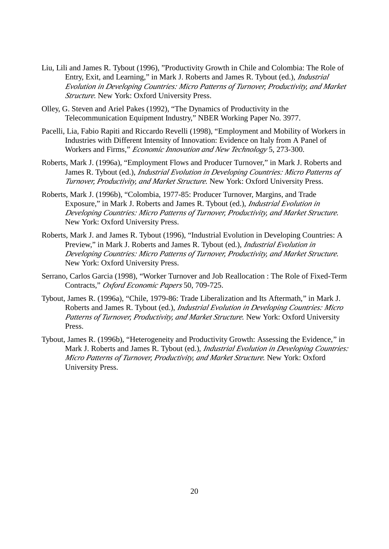- Liu, Lili and James R. Tybout (1996), "Productivity Growth in Chile and Colombia: The Role of Entry, Exit, and Learning," in Mark J. Roberts and James R. Tybout (ed.), *Industrial Evolution in Developing Countries: Micro Patterns of Turnover, Productivity, and Market Structure.* New York: Oxford University Press.
- Olley, G. Steven and Ariel Pakes (1992), "The Dynamics of Productivity in the Telecommunication Equipment Industry," NBER Working Paper No. 3977.
- Pacelli, Lia, Fabio Rapiti and Riccardo Revelli (1998), "Employment and Mobility of Workers in Industries with Different Intensity of Innovation: Evidence on Italy from A Panel of Workers and Firms," *Economic Innovation and New Technology* 5, 273-300.
- Roberts, Mark J. (1996a), "Employment Flows and Producer Turnover," in Mark J. Roberts and James R. Tybout (ed.), *Industrial Evolution in Developing Countries: Micro Patterns of Turnover, Productivity, and Market Structure.* New York: Oxford University Press.
- Roberts, Mark J. (1996b), "Colombia, 1977-85: Producer Turnover, Margins, and Trade Exposure," in Mark J. Roberts and James R. Tybout (ed.), *Industrial Evolution in Developing Countries: Micro Patterns of Turnover, Productivity, and Market Structure.* New York: Oxford University Press.
- Roberts, Mark J. and James R. Tybout (1996), "Industrial Evolution in Developing Countries: A Preview," in Mark J. Roberts and James R. Tybout (ed.), *Industrial Evolution in Developing Countries: Micro Patterns of Turnover, Productivity, and Market Structure.* New York: Oxford University Press.
- Serrano, Carlos Garcia (1998), "Worker Turnover and Job Reallocation : The Role of Fixed-Term Contracts," *Oxford Economic Papers* 50, 709-725.
- Tybout, James R. (1996a), "Chile, 1979-86: Trade Liberalization and Its Aftermath," in Mark J. Roberts and James R. Tybout (ed.), *Industrial Evolution in Developing Countries: Micro Patterns of Turnover, Productivity, and Market Structure.* New York: Oxford University Press.
- Tybout, James R. (1996b), "Heterogeneity and Productivity Growth: Assessing the Evidence," in Mark J. Roberts and James R. Tybout (ed.), *Industrial Evolution in Developing Countries: Micro Patterns of Turnover, Productivity, and Market Structure.* New York: Oxford University Press.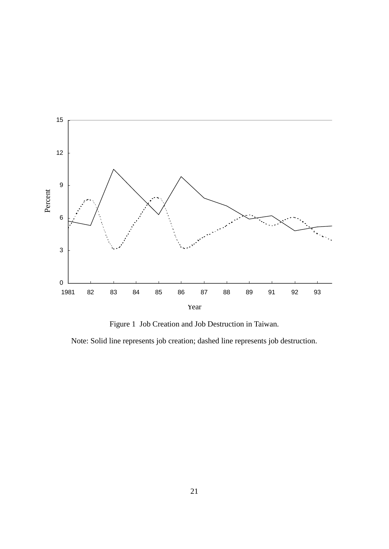

Figure 1 Job Creation and Job Destruction in Taiwan.

Note: Solid line represents job creation; dashed line represents job destruction.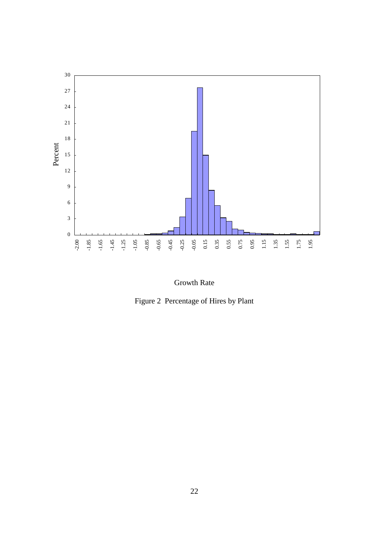

Growth Rate

Figure 2 Percentage of Hires by Plant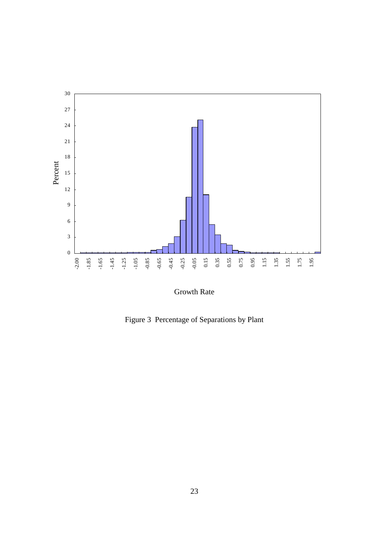

Growth Rate

Figure 3 Percentage of Separations by Plant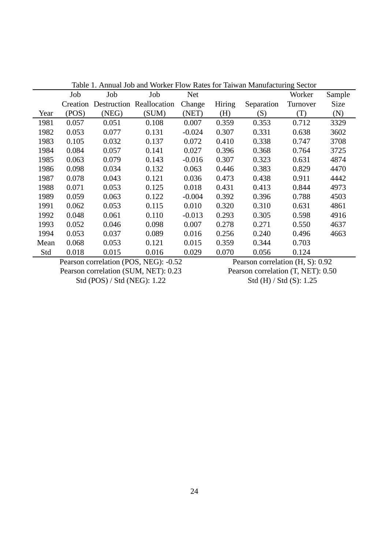|      | Table 1. Annual Job and Worker Flow Rates for Taiwan Manufacturing Sector |       |                          |            |               |            |          |        |  |
|------|---------------------------------------------------------------------------|-------|--------------------------|------------|---------------|------------|----------|--------|--|
|      | Job                                                                       | Job   | Job                      | <b>Net</b> |               |            | Worker   | Sample |  |
|      | Creation                                                                  |       | Destruction Reallocation | Change     | <b>Hiring</b> | Separation | Turnover | Size   |  |
| Year | (POS)                                                                     | (NEG) | (SUM)                    | (NET)      | (H)           | (S)        | (T)      | (N)    |  |
| 1981 | 0.057                                                                     | 0.051 | 0.108                    | 0.007      | 0.359         | 0.353      | 0.712    | 3329   |  |
| 1982 | 0.053                                                                     | 0.077 | 0.131                    | $-0.024$   | 0.307         | 0.331      | 0.638    | 3602   |  |
| 1983 | 0.105                                                                     | 0.032 | 0.137                    | 0.072      | 0.410         | 0.338      | 0.747    | 3708   |  |
| 1984 | 0.084                                                                     | 0.057 | 0.141                    | 0.027      | 0.396         | 0.368      | 0.764    | 3725   |  |
| 1985 | 0.063                                                                     | 0.079 | 0.143                    | $-0.016$   | 0.307         | 0.323      | 0.631    | 4874   |  |
| 1986 | 0.098                                                                     | 0.034 | 0.132                    | 0.063      | 0.446         | 0.383      | 0.829    | 4470   |  |
| 1987 | 0.078                                                                     | 0.043 | 0.121                    | 0.036      | 0.473         | 0.438      | 0.911    | 4442   |  |
| 1988 | 0.071                                                                     | 0.053 | 0.125                    | 0.018      | 0.431         | 0.413      | 0.844    | 4973   |  |
| 1989 | 0.059                                                                     | 0.063 | 0.122                    | $-0.004$   | 0.392         | 0.396      | 0.788    | 4503   |  |
| 1991 | 0.062                                                                     | 0.053 | 0.115                    | 0.010      | 0.320         | 0.310      | 0.631    | 4861   |  |
| 1992 | 0.048                                                                     | 0.061 | 0.110                    | $-0.013$   | 0.293         | 0.305      | 0.598    | 4916   |  |
| 1993 | 0.052                                                                     | 0.046 | 0.098                    | 0.007      | 0.278         | 0.271      | 0.550    | 4637   |  |
| 1994 | 0.053                                                                     | 0.037 | 0.089                    | 0.016      | 0.256         | 0.240      | 0.496    | 4663   |  |
| Mean | 0.068                                                                     | 0.053 | 0.121                    | 0.015      | 0.359         | 0.344      | 0.703    |        |  |
| Std  | 0.018                                                                     | 0.015 | 0.016                    | 0.029      | 0.070         | 0.056      | 0.124    |        |  |
|      |                                                                           |       |                          |            |               |            |          |        |  |

Table 1. Annual Job and Worker Flow Rates for Taiwan Manufacturing Sector

Pearson correlation (POS, NEG): -0.52 Pearson correlation (SUM, NET): 0.23 Std (POS) / Std (NEG): 1.22

Pearson correlation (H, S): 0.92 Pearson correlation (T, NET): 0.50 Std (H) / Std (S): 1.25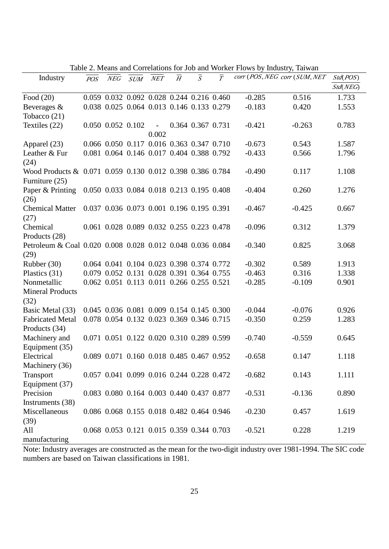|                                                            |     |     |                                                   |       |                |                |                           |          | Table 2. Means and Correlations for Job and Worker Flows by Industry, Tarwan |          |
|------------------------------------------------------------|-----|-----|---------------------------------------------------|-------|----------------|----------------|---------------------------|----------|------------------------------------------------------------------------------|----------|
| Industry                                                   | POS | NEG | SUM NET                                           |       | $\overline{H}$ | $\overline{S}$ | $\overline{\overline{T}}$ |          | corr (POS, NEG corr (SUM, NET                                                | Std(POS) |
|                                                            |     |     |                                                   |       |                |                |                           |          |                                                                              | Std(NEG) |
| Food $(20)$                                                |     |     | 0.059 0.032 0.092 0.028 0.244 0.216 0.460         |       |                |                |                           | $-0.285$ | 0.516                                                                        | 1.733    |
| Beverages &                                                |     |     | 0.038 0.025 0.064 0.013 0.146 0.133 0.279         |       |                |                |                           | $-0.183$ | 0.420                                                                        | 1.553    |
| Tobacco $(21)$                                             |     |     |                                                   |       |                |                |                           |          |                                                                              |          |
| Textiles (22)                                              |     |     | $0.050$ $0.052$ $0.102$ - $0.364$ $0.367$ $0.731$ |       |                |                |                           | $-0.421$ | $-0.263$                                                                     | 0.783    |
|                                                            |     |     |                                                   | 0.002 |                |                |                           |          |                                                                              |          |
| Apparel (23)                                               |     |     | 0.066 0.050 0.117 0.016 0.363 0.347 0.710         |       |                |                |                           | $-0.673$ | 0.543                                                                        | 1.587    |
| Leather & Fur                                              |     |     | 0.081 0.064 0.146 0.017 0.404 0.388 0.792         |       |                |                |                           | $-0.433$ | 0.566                                                                        | 1.796    |
| (24)                                                       |     |     |                                                   |       |                |                |                           |          |                                                                              |          |
| Wood Products & 0.071 0.059 0.130 0.012 0.398 0.386 0.784  |     |     |                                                   |       |                |                |                           | $-0.490$ | 0.117                                                                        | 1.108    |
| Furniture (25)                                             |     |     |                                                   |       |                |                |                           |          |                                                                              |          |
| Paper & Printing 0.050 0.033 0.084 0.018 0.213 0.195 0.408 |     |     |                                                   |       |                |                |                           | $-0.404$ | 0.260                                                                        | 1.276    |
| (26)                                                       |     |     |                                                   |       |                |                |                           |          |                                                                              |          |
| <b>Chemical Matter</b>                                     |     |     | 0.037 0.036 0.073 0.001 0.196 0.195 0.391         |       |                |                |                           | $-0.467$ | $-0.425$                                                                     | 0.667    |
| (27)                                                       |     |     |                                                   |       |                |                |                           |          |                                                                              |          |
| Chemical                                                   |     |     | 0.061 0.028 0.089 0.032 0.255 0.223 0.478         |       |                |                |                           | $-0.096$ | 0.312                                                                        | 1.379    |
| Products (28)                                              |     |     |                                                   |       |                |                |                           |          |                                                                              |          |
| Petroleum & Coal 0.020 0.008 0.028 0.012 0.048 0.036 0.084 |     |     |                                                   |       |                |                |                           | $-0.340$ | 0.825                                                                        | 3.068    |
| (29)                                                       |     |     |                                                   |       |                |                |                           |          |                                                                              |          |
| Rubber (30)                                                |     |     | 0.064 0.041 0.104 0.023 0.398 0.374 0.772         |       |                |                |                           | $-0.302$ | 0.589                                                                        | 1.913    |
| Plastics $(31)$                                            |     |     | 0.079 0.052 0.131 0.028 0.391 0.364 0.755         |       |                |                |                           | $-0.463$ | 0.316                                                                        | 1.338    |
| Nonmetallic                                                |     |     | 0.062 0.051 0.113 0.011 0.266 0.255 0.521         |       |                |                |                           | $-0.285$ | $-0.109$                                                                     | 0.901    |
| <b>Mineral Products</b>                                    |     |     |                                                   |       |                |                |                           |          |                                                                              |          |
| (32)                                                       |     |     |                                                   |       |                |                |                           |          |                                                                              |          |
| Basic Metal (33)                                           |     |     | 0.045 0.036 0.081 0.009 0.154 0.145 0.300         |       |                |                |                           | $-0.044$ | $-0.076$                                                                     | 0.926    |
| <b>Fabricated Metal</b>                                    |     |     | 0.078 0.054 0.132 0.023 0.369 0.346 0.715         |       |                |                |                           | $-0.350$ | 0.259                                                                        | 1.283    |
| Products (34)                                              |     |     |                                                   |       |                |                |                           |          |                                                                              |          |
| Machinery and                                              |     |     | 0.071 0.051 0.122 0.020 0.310 0.289 0.599         |       |                |                |                           | $-0.740$ | $-0.559$                                                                     | 0.645    |
| Equipment (35)                                             |     |     |                                                   |       |                |                |                           |          |                                                                              |          |
| Electrical                                                 |     |     | 0.089 0.071 0.160 0.018 0.485 0.467 0.952         |       |                |                |                           | $-0.658$ | 0.147                                                                        | 1.118    |
| Machinery (36)                                             |     |     |                                                   |       |                |                |                           |          |                                                                              |          |
| Transport                                                  |     |     | 0.057 0.041 0.099 0.016 0.244 0.228 0.472         |       |                |                |                           | $-0.682$ | 0.143                                                                        | 1.111    |
| Equipment (37)                                             |     |     |                                                   |       |                |                |                           |          |                                                                              |          |
| Precision                                                  |     |     | 0.083 0.080 0.164 0.003 0.440 0.437 0.877         |       |                |                |                           | $-0.531$ | $-0.136$                                                                     | 0.890    |
| Instruments (38)                                           |     |     |                                                   |       |                |                |                           |          |                                                                              |          |
| Miscellaneous                                              |     |     | 0.086 0.068 0.155 0.018 0.482 0.464 0.946         |       |                |                |                           | $-0.230$ | 0.457                                                                        | 1.619    |
| (39)                                                       |     |     |                                                   |       |                |                |                           |          |                                                                              |          |
| All                                                        |     |     | 0.068 0.053 0.121 0.015 0.359 0.344 0.703         |       |                |                |                           | $-0.521$ | 0.228                                                                        | 1.219    |
| manufacturing                                              |     |     |                                                   |       |                |                |                           |          |                                                                              |          |

Table 2. Means and Correlations for Job and Worker Flows by Industry, Taiwan

Note: Industry averages are constructed as the mean for the two-digit industry over 1981-1994. The SIC code numbers are based on Taiwan classifications in 1981.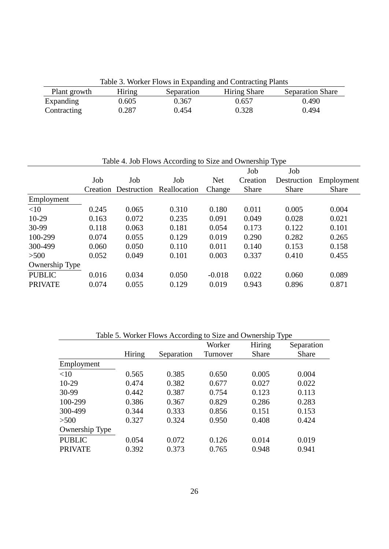Table 3. Worker Flows in Expanding and Contracting Plants

| Plant growth | Hiring | Separation | <b>Hiring Share</b> | <b>Separation Share</b> |
|--------------|--------|------------|---------------------|-------------------------|
| Expanding    | 0.605  | 0.367      | 0.657               | 0.490                   |
| Contracting  | 0.287  | 0.454      | 0.328               | 0.494                   |

Table 4. Job Flows According to Size and Ownership Type

|                |       |       |                                   |            | Job          | Job          |              |
|----------------|-------|-------|-----------------------------------|------------|--------------|--------------|--------------|
|                | Job   | Job   | Job                               | <b>Net</b> | Creation     | Destruction  | Employment   |
|                |       |       | Creation Destruction Reallocation | Change     | <b>Share</b> | <b>Share</b> | <b>Share</b> |
| Employment     |       |       |                                   |            |              |              |              |
| <10            | 0.245 | 0.065 | 0.310                             | 0.180      | 0.011        | 0.005        | 0.004        |
| $10-29$        | 0.163 | 0.072 | 0.235                             | 0.091      | 0.049        | 0.028        | 0.021        |
| 30-99          | 0.118 | 0.063 | 0.181                             | 0.054      | 0.173        | 0.122        | 0.101        |
| 100-299        | 0.074 | 0.055 | 0.129                             | 0.019      | 0.290        | 0.282        | 0.265        |
| 300-499        | 0.060 | 0.050 | 0.110                             | 0.011      | 0.140        | 0.153        | 0.158        |
| >500           | 0.052 | 0.049 | 0.101                             | 0.003      | 0.337        | 0.410        | 0.455        |
| Ownership Type |       |       |                                   |            |              |              |              |
| <b>PUBLIC</b>  | 0.016 | 0.034 | 0.050                             | $-0.018$   | 0.022        | 0.060        | 0.089        |
| <b>PRIVATE</b> | 0.074 | 0.055 | 0.129                             | 0.019      | 0.943        | 0.896        | 0.871        |

| Table 5. Worker Flows According to Size and Ownership Type |        |            |          |              |              |  |  |
|------------------------------------------------------------|--------|------------|----------|--------------|--------------|--|--|
|                                                            |        |            | Worker   | Hiring       | Separation   |  |  |
|                                                            | Hiring | Separation | Turnover | <b>Share</b> | <b>Share</b> |  |  |
| Employment                                                 |        |            |          |              |              |  |  |
| <10                                                        | 0.565  | 0.385      | 0.650    | 0.005        | 0.004        |  |  |
| $10-29$                                                    | 0.474  | 0.382      | 0.677    | 0.027        | 0.022        |  |  |
| 30-99                                                      | 0.442  | 0.387      | 0.754    | 0.123        | 0.113        |  |  |
| 100-299                                                    | 0.386  | 0.367      | 0.829    | 0.286        | 0.283        |  |  |
| 300-499                                                    | 0.344  | 0.333      | 0.856    | 0.151        | 0.153        |  |  |
| >500                                                       | 0.327  | 0.324      | 0.950    | 0.408        | 0.424        |  |  |
| Ownership Type                                             |        |            |          |              |              |  |  |
| <b>PUBLIC</b>                                              | 0.054  | 0.072      | 0.126    | 0.014        | 0.019        |  |  |
| <b>PRIVATE</b>                                             | 0.392  | 0.373      | 0.765    | 0.948        | 0.941        |  |  |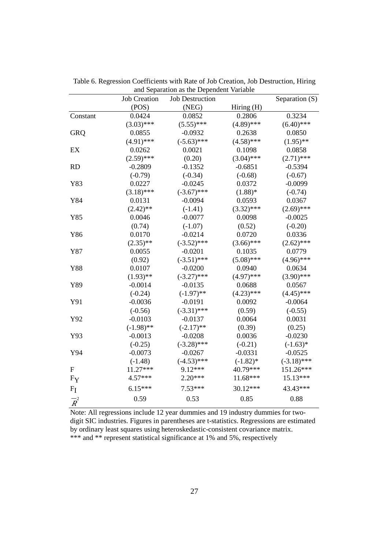|                           | <b>Job Creation</b> | <b>Job Destruction</b> |              | Separation (S) |
|---------------------------|---------------------|------------------------|--------------|----------------|
|                           | (POS)               | (NEG)                  | Hiring (H)   |                |
| Constant                  | 0.0424              | 0.0852                 | 0.2806       | 0.3234         |
|                           | $(3.03)$ ***        | $(5.55)$ ***           | $(4.89)$ *** | $(6.40)$ ***   |
| <b>GRQ</b>                | 0.0855              | $-0.0932$              | 0.2638       | 0.0850         |
|                           | $(4.91)$ ***        | $(-5.63)$ ***          | $(4.58)$ *** | $(1.95)$ **    |
| EX                        | 0.0262              | 0.0021                 | 0.1098       | 0.0858         |
|                           | $(2.59)$ ***        | (0.20)                 | $(3.04)$ *** | $(2.71)$ ***   |
| <b>RD</b>                 | $-0.2809$           | $-0.1352$              | $-0.6851$    | $-0.5394$      |
|                           | $(-0.79)$           | $(-0.34)$              | $(-0.68)$    | $(-0.67)$      |
| Y83                       | 0.0227              | $-0.0245$              | 0.0372       | $-0.0099$      |
|                           | $(3.18)$ ***        | $(-3.67)$ ***          | $(1.88)*$    | $(-0.74)$      |
| Y84                       | 0.0131              | $-0.0094$              | 0.0593       | 0.0367         |
|                           | $(2.42)$ **         | $(-1.41)$              | $(3.32)$ *** | $(2.69)$ ***   |
| Y85                       | 0.0046              | $-0.0077$              | 0.0098       | $-0.0025$      |
|                           | (0.74)              | $(-1.07)$              | (0.52)       | $(-0.20)$      |
| Y86                       | 0.0170              | $-0.0214$              | 0.0720       | 0.0336         |
|                           | $(2.35)$ **         | $(-3.52)$ ***          | $(3.66)$ *** | $(2.62)$ ***   |
| Y87                       | 0.0055              | $-0.0201$              | 0.1035       | 0.0779         |
|                           | (0.92)              | $(-3.51)$ ***          | $(5.08)$ *** | $(4.96)$ ***   |
| Y88                       | 0.0107              | $-0.0200$              | 0.0940       | 0.0634         |
|                           | $(1.93)$ **         | $(-3.27)$ ***          | $(4.97)$ *** | $(3.90)$ ***   |
| Y89                       | $-0.0014$           | $-0.0135$              | 0.0688       | 0.0567         |
|                           | $(-0.24)$           | $(-1.97)$ **           | $(4.23)$ *** | $(4.45)$ ***   |
| Y91                       | $-0.0036$           | $-0.0191$              | 0.0092       | $-0.0064$      |
|                           | $(-0.56)$           | $(-3.31)$ ***          | (0.59)       | $(-0.55)$      |
| Y92                       | $-0.0103$           | $-0.0137$              | 0.0064       | 0.0031         |
|                           | $(-1.98)$ **        | $(-2.17)$ **           | (0.39)       | (0.25)         |
| Y93                       | $-0.0013$           | $-0.0208$              | 0.0036       | $-0.0230$      |
|                           | $(-0.25)$           | $(-3.28)$ ***          | $(-0.21)$    | $(-1.63)*$     |
| Y94                       | $-0.0073$           | $-0.0267$              | $-0.0331$    | $-0.0525$      |
|                           | $(-1.48)$           | $(-4.53)$ ***          | $(-1.82)$ *  | $(-3.18)$ ***  |
| $\boldsymbol{\mathrm{F}}$ | 11.27***            | 9.12***                | 40.79***     | 151.26***      |
| FY                        | 4.57***             | $2.20***$              | 11.68***     | $15.13***$     |
| $F_I$                     | $6.15***$           | $7.53***$              | 30.12***     | 43.43***       |
| $-2$<br>$\mathcal{R}$     | 0.59                | 0.53                   | 0.85         | 0.88           |

Table 6. Regression Coefficients with Rate of Job Creation, Job Destruction, Hiring and Separation as the Dependent Variable

Note: All regressions include 12 year dummies and 19 industry dummies for twodigit SIC industries. Figures in parentheses are t-statistics. Regressions are estimated by ordinary least squares using heteroskedastic-consistent covariance matrix. \*\*\* and \*\* represent statistical significance at 1% and 5%, respectively